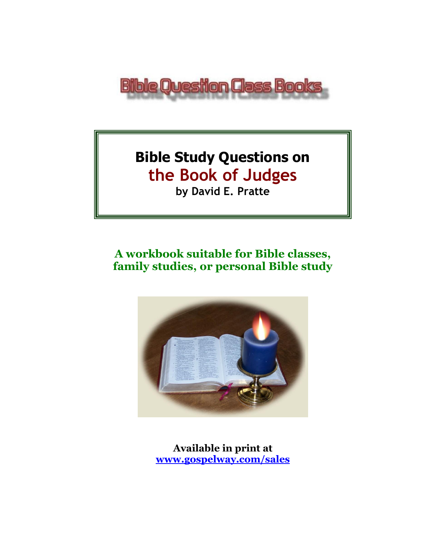

# **Bible Study Questions on the Book of Judges**

**by David E. Pratte**

# **A workbook suitable for Bible classes, family studies, or personal Bible study**



**Available in print at [www.gospelway.com/sales](https://www.gospelway.com/sales)**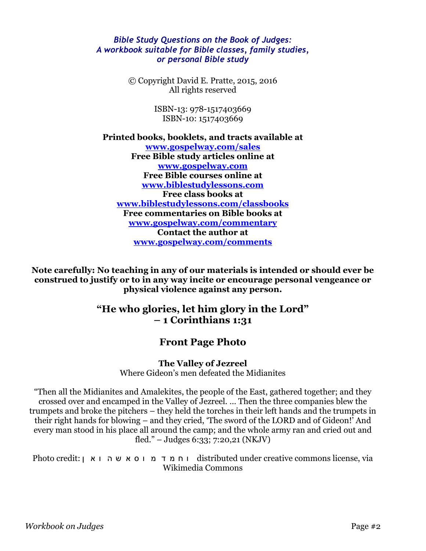#### *Bible Study Questions on the Book of Judges: A workbook suitable for Bible classes, family studies, or personal Bible study*

© Copyright David E. Pratte, 2015, 2016 All rights reserved

> ISBN-13: 978-1517403669 ISBN-10: 1517403669

**Printed books, booklets, and tracts available at [www.gospelway.com/sales](https://www.gospelway.com/sales) Free Bible study articles online at [www.gospelway.com](http://www.gospelway.com/) Free Bible courses online at [www.biblestudylessons.com](http://www.biblestudylessons.com/) Free class books at [www.biblestudylessons.com/classbooks](http://www.biblestudylessons.com/classbooks) Free commentaries on Bible books at [www.gospelway.com/commentary](http://www.gospelway.com/commentary) Contact the author at [www.gospelway.com/comments](http://www.gospelway.com/comments)**

**Note carefully: No teaching in any of our materials is intended or should ever be construed to justify or to in any way incite or encourage personal vengeance or physical violence against any person.**

### **"He who glories, let him glory in the Lord" – 1 Corinthians 1:31**

### **Front Page Photo**

**The Valley of Jezreel**

Where Gideon's men defeated the Midianites

"Then all the Midianites and Amalekites, the people of the East, gathered together; and they crossed over and encamped in the Valley of Jezreel. … Then the three companies blew the trumpets and broke the pitchers – they held the torches in their left hands and the trumpets in their right hands for blowing – and they cried, 'The sword of the LORD and of Gideon!' And every man stood in his place all around the camp; and the whole army ran and cried out and fled." – Judges 6:33; 7:20,21 (NKJV)

Photo credit: וח מ ד מ ו ס א ש ה ו א ן :Photo credit ו ח מ ד מ ו ס א ש ה ו א Wikimedia Commons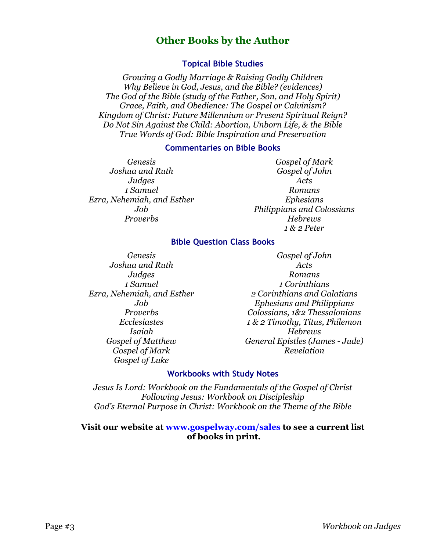### **Other Books by the Author**

#### **Topical Bible Studies**

*Growing a Godly Marriage & Raising Godly Children Why Believe in God, Jesus, and the Bible? (evidences) The God of the Bible (study of the Father, Son, and Holy Spirit) Grace, Faith, and Obedience: The Gospel or Calvinism? Kingdom of Christ: Future Millennium or Present Spiritual Reign? Do Not Sin Against the Child: Abortion, Unborn Life, & the Bible True Words of God: Bible Inspiration and Preservation*

#### **Commentaries on Bible Books**

*Genesis Joshua and Ruth Judges 1 Samuel Ezra, Nehemiah, and Esther Job Proverbs*

*Gospel of Mark Gospel of John Acts Romans Ephesians Philippians and Colossians Hebrews 1 & 2 Peter*

#### **Bible Question Class Books**

*Genesis Joshua and Ruth Judges 1 Samuel Ezra, Nehemiah, and Esther Job Proverbs Ecclesiastes Isaiah Gospel of Matthew Gospel of Mark Gospel of Luke*

*Gospel of John Acts Romans 1 Corinthians 2 Corinthians and Galatians Ephesians and Philippians Colossians, 1&2 Thessalonians 1 & 2 Timothy, Titus, Philemon Hebrews General Epistles (James - Jude) Revelation*

#### **Workbooks with Study Notes**

*Jesus Is Lord: Workbook on the Fundamentals of the Gospel of Christ Following Jesus: Workbook on Discipleship God's Eternal Purpose in Christ: Workbook on the Theme of the Bible*

#### **Visit our website at [www.gospelway.com/sales](https://www.gospelway.com/sales) to see a current list of books in print.**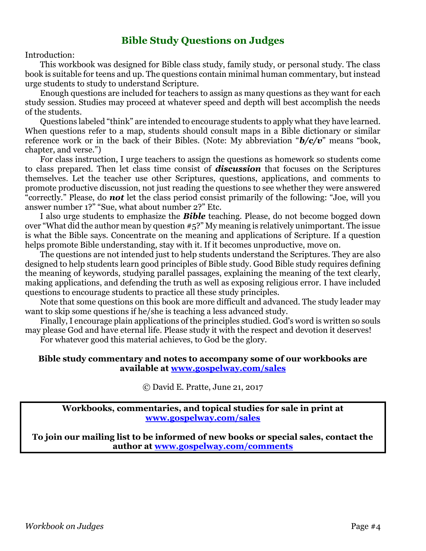### **Bible Study Questions on Judges**

#### Introduction:

This workbook was designed for Bible class study, family study, or personal study. The class book is suitable for teens and up. The questions contain minimal human commentary, but instead urge students to study to understand Scripture.

Enough questions are included for teachers to assign as many questions as they want for each study session. Studies may proceed at whatever speed and depth will best accomplish the needs of the students.

Questions labeled "think" are intended to encourage students to apply what they have learned. When questions refer to a map, students should consult maps in a Bible dictionary or similar reference work or in the back of their Bibles. (Note: My abbreviation "*b/c/v*" means "book, chapter, and verse.")

For class instruction, I urge teachers to assign the questions as homework so students come to class prepared. Then let class time consist of *discussion* that focuses on the Scriptures themselves. Let the teacher use other Scriptures, questions, applications, and comments to promote productive discussion, not just reading the questions to see whether they were answered "correctly." Please, do *not* let the class period consist primarily of the following: "Joe, will you answer number 1?" "Sue, what about number 2?" Etc.

I also urge students to emphasize the *Bible* teaching. Please, do not become bogged down over "What did the author mean by question #5?" My meaning is relatively unimportant. The issue is what the Bible says. Concentrate on the meaning and applications of Scripture. If a question helps promote Bible understanding, stay with it. If it becomes unproductive, move on.

The questions are not intended just to help students understand the Scriptures. They are also designed to help students learn good principles of Bible study. Good Bible study requires defining the meaning of keywords, studying parallel passages, explaining the meaning of the text clearly, making applications, and defending the truth as well as exposing religious error. I have included questions to encourage students to practice all these study principles.

Note that some questions on this book are more difficult and advanced. The study leader may want to skip some questions if he/she is teaching a less advanced study.

Finally, I encourage plain applications of the principles studied. God's word is written so souls may please God and have eternal life. Please study it with the respect and devotion it deserves! For whatever good this material achieves, to God be the glory.

#### **Bible study commentary and notes to accompany some of our workbooks are available at [www.gospelway.com/sales](https://www.gospelway.com/sales)**

© David E. Pratte, June 21, 2017

**Workbooks, commentaries, and topical studies for sale in print at [www.gospelway.com/sales](https://www.gospelway.com/sales)**

**To join our mailing list to be informed of new books or special sales, contact the author at [www.gospelway.com/comments](http://www.gospelway.com/comments)**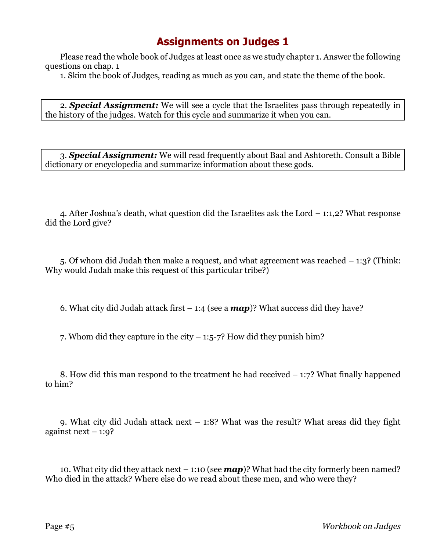Please read the whole book of Judges at least once as we study chapter 1. Answer the following questions on chap. 1

1. Skim the book of Judges, reading as much as you can, and state the theme of the book.

2. *Special Assignment:* We will see a cycle that the Israelites pass through repeatedly in the history of the judges. Watch for this cycle and summarize it when you can.

3. *Special Assignment:* We will read frequently about Baal and Ashtoreth. Consult a Bible dictionary or encyclopedia and summarize information about these gods.

4. After Joshua's death, what question did the Israelites ask the Lord – 1:1,2? What response did the Lord give?

5. Of whom did Judah then make a request, and what agreement was reached – 1:3? (Think: Why would Judah make this request of this particular tribe?)

6. What city did Judah attack first  $-1:4$  (see a  $map$ )? What success did they have?

7. Whom did they capture in the city  $-1:5-7$ ? How did they punish him?

8. How did this man respond to the treatment he had received – 1:7? What finally happened to him?

9. What city did Judah attack next – 1:8? What was the result? What areas did they fight against next  $-1:9$ ?

10. What city did they attack next – 1:10 (see *map*)? What had the city formerly been named? Who died in the attack? Where else do we read about these men, and who were they?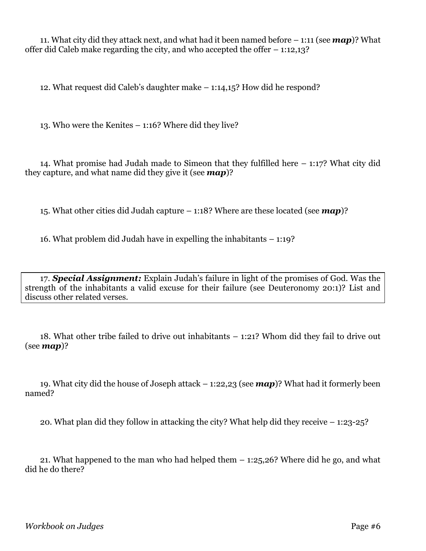11. What city did they attack next, and what had it been named before – 1:11 (see *map*)? What offer did Caleb make regarding the city, and who accepted the offer – 1:12,13?

12. What request did Caleb's daughter make – 1:14,15? How did he respond?

13. Who were the Kenites – 1:16? Where did they live?

14. What promise had Judah made to Simeon that they fulfilled here – 1:17? What city did they capture, and what name did they give it (see *map*)?

15. What other cities did Judah capture – 1:18? Where are these located (see *map*)?

16. What problem did Judah have in expelling the inhabitants – 1:19?

17. *Special Assignment:* Explain Judah's failure in light of the promises of God. Was the strength of the inhabitants a valid excuse for their failure (see Deuteronomy 20:1)? List and discuss other related verses.

18. What other tribe failed to drive out inhabitants – 1:21? Whom did they fail to drive out (see *map*)?

19. What city did the house of Joseph attack – 1:22,23 (see *map*)? What had it formerly been named?

20. What plan did they follow in attacking the city? What help did they receive – 1:23-25?

21. What happened to the man who had helped them – 1:25,26? Where did he go, and what did he do there?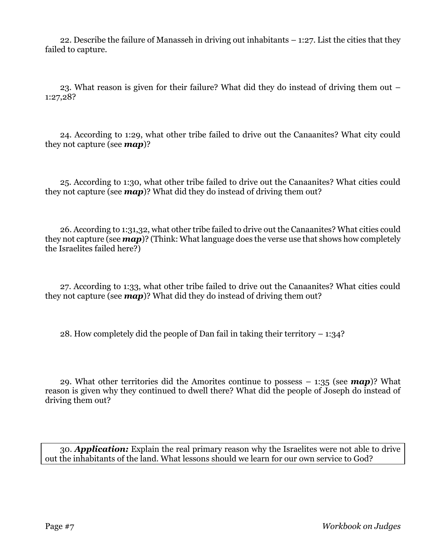22. Describe the failure of Manasseh in driving out inhabitants – 1:27. List the cities that they failed to capture.

23. What reason is given for their failure? What did they do instead of driving them out – 1:27,28?

24. According to 1:29, what other tribe failed to drive out the Canaanites? What city could they not capture (see *map*)?

25. According to 1:30, what other tribe failed to drive out the Canaanites? What cities could they not capture (see *map*)? What did they do instead of driving them out?

26. According to 1:31,32, what other tribe failed to drive out the Canaanites? What cities could they not capture (see *map*)? (Think: What language does the verse use that shows how completely the Israelites failed here?)

27. According to 1:33, what other tribe failed to drive out the Canaanites? What cities could they not capture (see *map*)? What did they do instead of driving them out?

28. How completely did the people of Dan fail in taking their territory – 1:34?

29. What other territories did the Amorites continue to possess – 1:35 (see *map*)? What reason is given why they continued to dwell there? What did the people of Joseph do instead of driving them out?

30. *Application:* Explain the real primary reason why the Israelites were not able to drive out the inhabitants of the land. What lessons should we learn for our own service to God?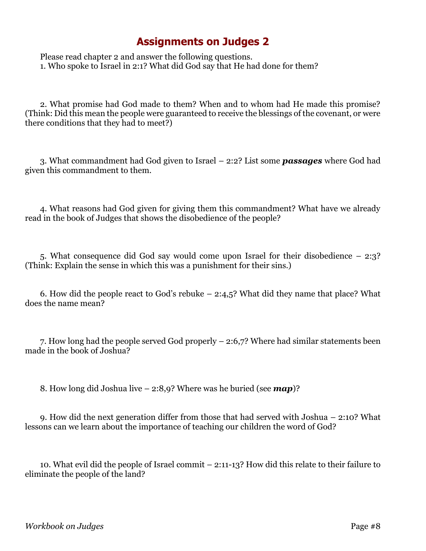Please read chapter 2 and answer the following questions. 1. Who spoke to Israel in 2:1? What did God say that He had done for them?

2. What promise had God made to them? When and to whom had He made this promise? (Think: Did this mean the people were guaranteed to receive the blessings of the covenant, or were there conditions that they had to meet?)

3. What commandment had God given to Israel – 2:2? List some *passages* where God had given this commandment to them.

4. What reasons had God given for giving them this commandment? What have we already read in the book of Judges that shows the disobedience of the people?

5. What consequence did God say would come upon Israel for their disobedience – 2:3? (Think: Explain the sense in which this was a punishment for their sins.)

6. How did the people react to God's rebuke – 2:4,5? What did they name that place? What does the name mean?

7. How long had the people served God properly – 2:6,7? Where had similar statements been made in the book of Joshua?

8. How long did Joshua live – 2:8,9? Where was he buried (see *map*)?

9. How did the next generation differ from those that had served with Joshua – 2:10? What lessons can we learn about the importance of teaching our children the word of God?

10. What evil did the people of Israel commit – 2:11-13? How did this relate to their failure to eliminate the people of the land?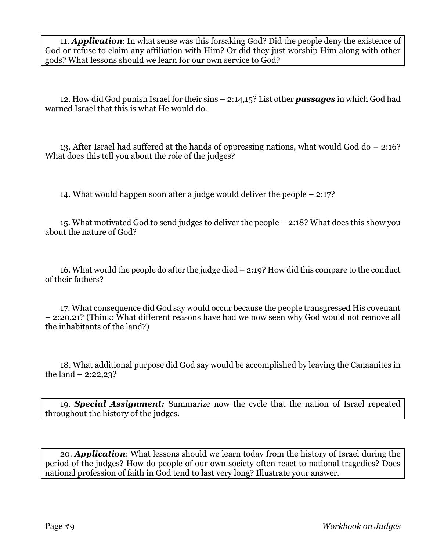11. *Application*: In what sense was this forsaking God? Did the people deny the existence of God or refuse to claim any affiliation with Him? Or did they just worship Him along with other gods? What lessons should we learn for our own service to God?

12. How did God punish Israel for their sins – 2:14,15? List other *passages* in which God had warned Israel that this is what He would do.

13. After Israel had suffered at the hands of oppressing nations, what would God do – 2:16? What does this tell you about the role of the judges?

14. What would happen soon after a judge would deliver the people – 2:17?

15. What motivated God to send judges to deliver the people – 2:18? What does this show you about the nature of God?

16. What would the people do after the judge died – 2:19? How did this compare to the conduct of their fathers?

17. What consequence did God say would occur because the people transgressed His covenant – 2:20,21? (Think: What different reasons have had we now seen why God would not remove all the inhabitants of the land?)

18. What additional purpose did God say would be accomplished by leaving the Canaanites in the land  $- 2:22,23$ ?

19. *Special Assignment:* Summarize now the cycle that the nation of Israel repeated throughout the history of the judges.

20. *Application*: What lessons should we learn today from the history of Israel during the period of the judges? How do people of our own society often react to national tragedies? Does national profession of faith in God tend to last very long? Illustrate your answer.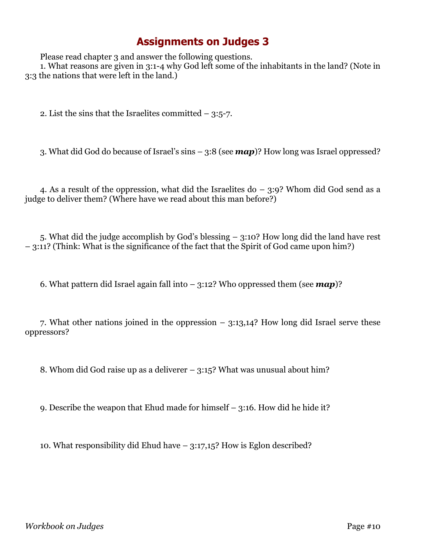Please read chapter 3 and answer the following questions.

1. What reasons are given in 3:1-4 why God left some of the inhabitants in the land? (Note in 3:3 the nations that were left in the land.)

2. List the sins that the Israelites committed – 3:5-7.

3. What did God do because of Israel's sins – 3:8 (see *map*)? How long was Israel oppressed?

4. As a result of the oppression, what did the Israelites do – 3:9? Whom did God send as a judge to deliver them? (Where have we read about this man before?)

5. What did the judge accomplish by God's blessing – 3:10? How long did the land have rest – 3:11? (Think: What is the significance of the fact that the Spirit of God came upon him?)

6. What pattern did Israel again fall into – 3:12? Who oppressed them (see *map*)?

7. What other nations joined in the oppression – 3:13,14? How long did Israel serve these oppressors?

8. Whom did God raise up as a deliverer – 3:15? What was unusual about him?

9. Describe the weapon that Ehud made for himself – 3:16. How did he hide it?

10. What responsibility did Ehud have – 3:17,15? How is Eglon described?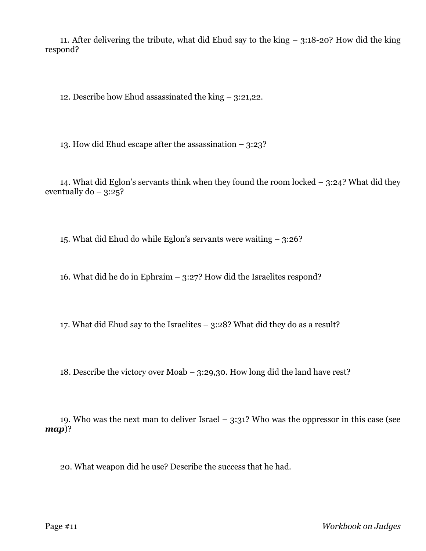11. After delivering the tribute, what did Ehud say to the king – 3:18-20? How did the king respond?

12. Describe how Ehud assassinated the king – 3:21,22.

13. How did Ehud escape after the assassination – 3:23?

14. What did Eglon's servants think when they found the room locked – 3:24? What did they eventually  $do - 3:25$ ?

15. What did Ehud do while Eglon's servants were waiting – 3:26?

16. What did he do in Ephraim – 3:27? How did the Israelites respond?

17. What did Ehud say to the Israelites – 3:28? What did they do as a result?

18. Describe the victory over Moab – 3:29,30. How long did the land have rest?

19. Who was the next man to deliver Israel  $-$  3:31? Who was the oppressor in this case (see *map*)?

20. What weapon did he use? Describe the success that he had.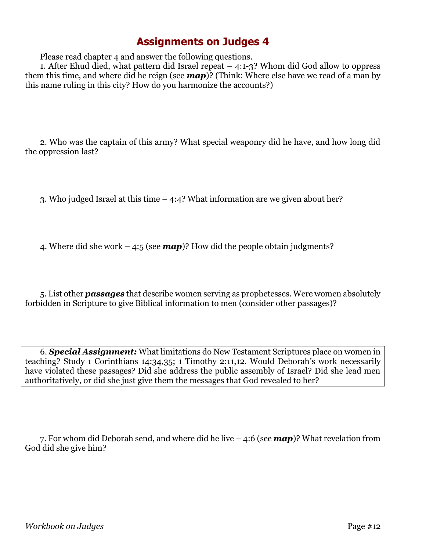Please read chapter 4 and answer the following questions.

1. After Ehud died, what pattern did Israel repeat – 4:1-3? Whom did God allow to oppress them this time, and where did he reign (see *map*)? (Think: Where else have we read of a man by this name ruling in this city? How do you harmonize the accounts?)

2. Who was the captain of this army? What special weaponry did he have, and how long did the oppression last?

3. Who judged Israel at this time – 4:4? What information are we given about her?

4. Where did she work – 4:5 (see *map*)? How did the people obtain judgments?

5. List other *passages* that describe women serving as prophetesses. Were women absolutely forbidden in Scripture to give Biblical information to men (consider other passages)?

6. *Special Assignment:* What limitations do New Testament Scriptures place on women in teaching? Study 1 Corinthians 14:34,35; 1 Timothy 2:11,12. Would Deborah's work necessarily have violated these passages? Did she address the public assembly of Israel? Did she lead men authoritatively, or did she just give them the messages that God revealed to her?

7. For whom did Deborah send, and where did he live – 4:6 (see *map*)? What revelation from God did she give him?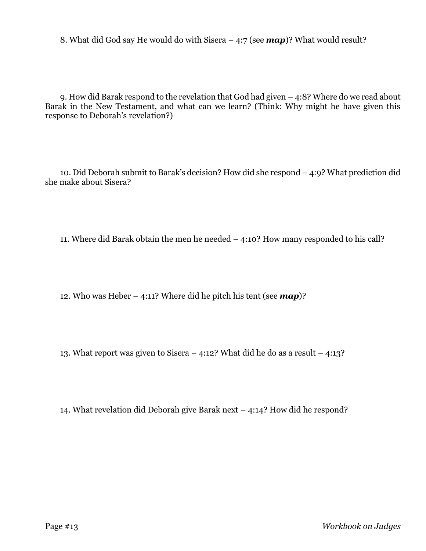8. What did God say He would do with Sisera – 4:7 (see *map*)? What would result?

9. How did Barak respond to the revelation that God had given – 4:8? Where do we read about Barak in the New Testament, and what can we learn? (Think: Why might he have given this response to Deborah's revelation?)

10. Did Deborah submit to Barak's decision? How did she respond – 4:9? What prediction did she make about Sisera?

11. Where did Barak obtain the men he needed – 4:10? How many responded to his call?

12. Who was Heber – 4:11? Where did he pitch his tent (see *map*)?

13. What report was given to Sisera – 4:12? What did he do as a result – 4:13?

14. What revelation did Deborah give Barak next – 4:14? How did he respond?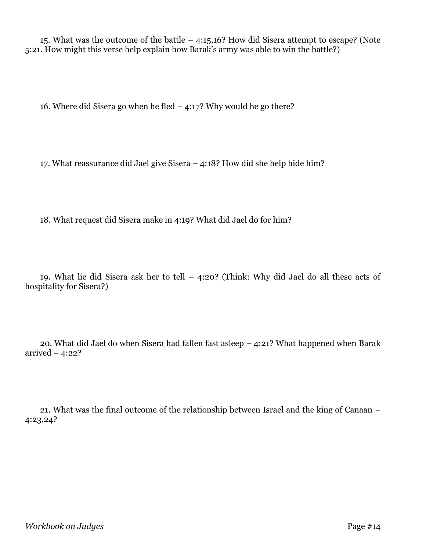15. What was the outcome of the battle – 4:15,16? How did Sisera attempt to escape? (Note 5:21. How might this verse help explain how Barak's army was able to win the battle?)

16. Where did Sisera go when he fled – 4:17? Why would he go there?

17. What reassurance did Jael give Sisera – 4:18? How did she help hide him?

18. What request did Sisera make in 4:19? What did Jael do for him?

19. What lie did Sisera ask her to tell – 4:20? (Think: Why did Jael do all these acts of hospitality for Sisera?)

20. What did Jael do when Sisera had fallen fast asleep – 4:21? What happened when Barak arrived  $-4:22?$ 

21. What was the final outcome of the relationship between Israel and the king of Canaan – 4:23,24?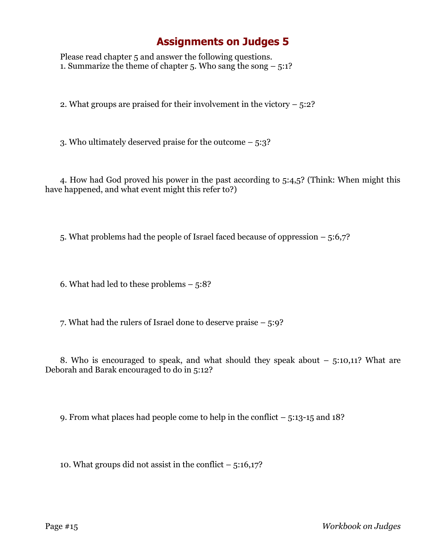Please read chapter 5 and answer the following questions. 1. Summarize the theme of chapter 5. Who sang the song  $-5:1?$ 

2. What groups are praised for their involvement in the victory – 5:2?

3. Who ultimately deserved praise for the outcome – 5:3?

4. How had God proved his power in the past according to 5:4,5? (Think: When might this have happened, and what event might this refer to?)

5. What problems had the people of Israel faced because of oppression – 5:6,7?

6. What had led to these problems  $-5:8$ ?

7. What had the rulers of Israel done to deserve praise – 5:9?

8. Who is encouraged to speak, and what should they speak about – 5:10,11? What are Deborah and Barak encouraged to do in 5:12?

9. From what places had people come to help in the conflict – 5:13-15 and 18?

10. What groups did not assist in the conflict  $-5:16,17$ ?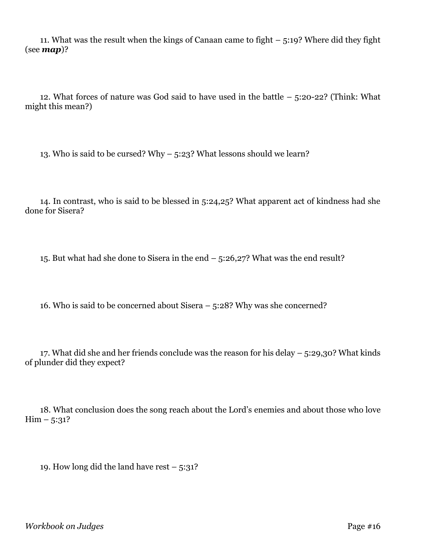11. What was the result when the kings of Canaan came to fight – 5:19? Where did they fight (see *map*)?

12. What forces of nature was God said to have used in the battle – 5:20-22? (Think: What might this mean?)

13. Who is said to be cursed? Why – 5:23? What lessons should we learn?

14. In contrast, who is said to be blessed in 5:24,25? What apparent act of kindness had she done for Sisera?

15. But what had she done to Sisera in the end – 5:26,27? What was the end result?

16. Who is said to be concerned about Sisera – 5:28? Why was she concerned?

17. What did she and her friends conclude was the reason for his delay  $-5:29,30$ ? What kinds of plunder did they expect?

18. What conclusion does the song reach about the Lord's enemies and about those who love  $\text{Him} - 5:31?$ 

19. How long did the land have rest  $-5:31?$ 

*Workbook on Judges* Page #16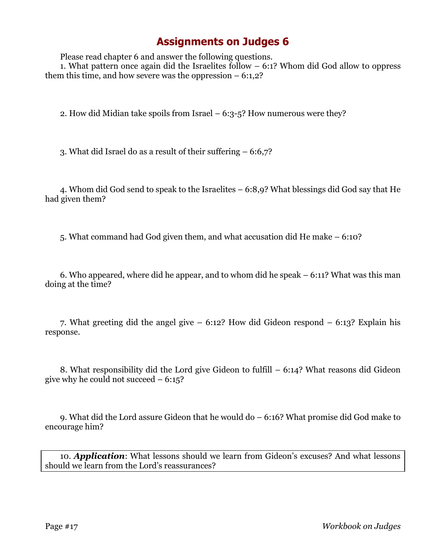Please read chapter 6 and answer the following questions.

1. What pattern once again did the Israelites follow – 6:1? Whom did God allow to oppress them this time, and how severe was the oppression  $-6:1,2$ ?

2. How did Midian take spoils from Israel  $-6:3-5$ ? How numerous were they?

3. What did Israel do as a result of their suffering – 6:6,7?

4. Whom did God send to speak to the Israelites – 6:8,9? What blessings did God say that He had given them?

5. What command had God given them, and what accusation did He make – 6:10?

6. Who appeared, where did he appear, and to whom did he speak – 6:11? What was this man doing at the time?

7. What greeting did the angel give – 6:12? How did Gideon respond – 6:13? Explain his response.

8. What responsibility did the Lord give Gideon to fulfill – 6:14? What reasons did Gideon give why he could not succeed  $-6:15$ ?

9. What did the Lord assure Gideon that he would do – 6:16? What promise did God make to encourage him?

10. *Application*: What lessons should we learn from Gideon's excuses? And what lessons should we learn from the Lord's reassurances?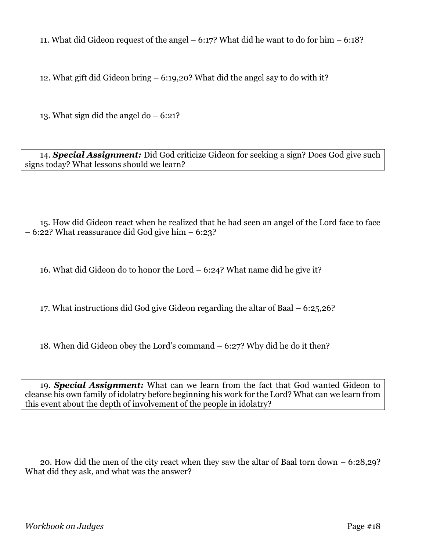11. What did Gideon request of the angel – 6:17? What did he want to do for him – 6:18?

12. What gift did Gideon bring – 6:19,20? What did the angel say to do with it?

13. What sign did the angel do  $-6:21$ ?

14. *Special Assignment:* Did God criticize Gideon for seeking a sign? Does God give such signs today? What lessons should we learn?

15. How did Gideon react when he realized that he had seen an angel of the Lord face to face – 6:22? What reassurance did God give him – 6:23?

16. What did Gideon do to honor the Lord – 6:24? What name did he give it?

17. What instructions did God give Gideon regarding the altar of Baal – 6:25,26?

18. When did Gideon obey the Lord's command – 6:27? Why did he do it then?

19. *Special Assignment:* What can we learn from the fact that God wanted Gideon to cleanse his own family of idolatry before beginning his work for the Lord? What can we learn from this event about the depth of involvement of the people in idolatry?

20. How did the men of the city react when they saw the altar of Baal torn down – 6:28,29? What did they ask, and what was the answer?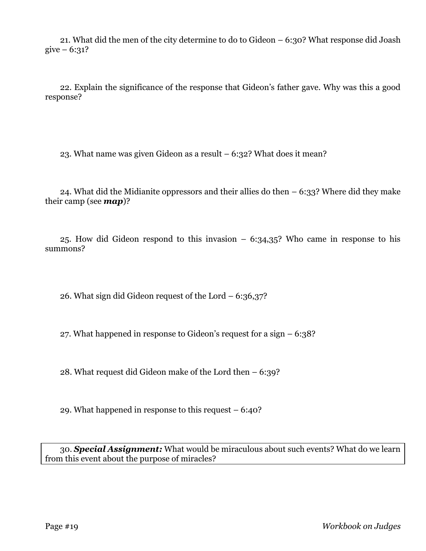21. What did the men of the city determine to do to Gideon – 6:30? What response did Joash give  $-6:31?$ 

22. Explain the significance of the response that Gideon's father gave. Why was this a good response?

23. What name was given Gideon as a result – 6:32? What does it mean?

24. What did the Midianite oppressors and their allies do then  $-6:33$ ? Where did they make their camp (see *map*)?

25. How did Gideon respond to this invasion – 6:34,35? Who came in response to his summons?

26. What sign did Gideon request of the Lord  $-6:36,37$ ?

27. What happened in response to Gideon's request for a sign – 6:38?

28. What request did Gideon make of the Lord then – 6:39?

29. What happened in response to this request – 6:40?

30. *Special Assignment:* What would be miraculous about such events? What do we learn from this event about the purpose of miracles?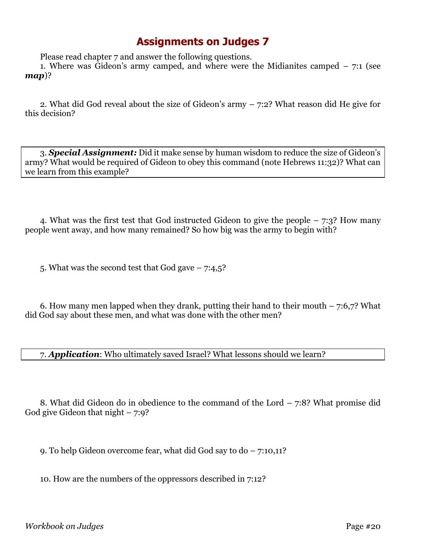Please read chapter 7 and answer the following questions.

1. Where was Gideon's army camped, and where were the Midianites camped – 7:1 (see *map*)?

2. What did God reveal about the size of Gideon's army – 7:2? What reason did He give for this decision?

3. *Special Assignment:* Did it make sense by human wisdom to reduce the size of Gideon's army? What would be required of Gideon to obey this command (note Hebrews 11:32)? What can we learn from this example?

4. What was the first test that God instructed Gideon to give the people – 7:3? How many people went away, and how many remained? So how big was the army to begin with?

5. What was the second test that God gave  $-7:4,5$ ?

6. How many men lapped when they drank, putting their hand to their mouth  $-7:6,7$ ? What did God say about these men, and what was done with the other men?

7. *Application*: Who ultimately saved Israel? What lessons should we learn?

8. What did Gideon do in obedience to the command of the Lord – 7:8? What promise did God give Gideon that night  $-7:9$ ?

9. To help Gideon overcome fear, what did God say to do – 7:10,11?

10. How are the numbers of the oppressors described in 7:12?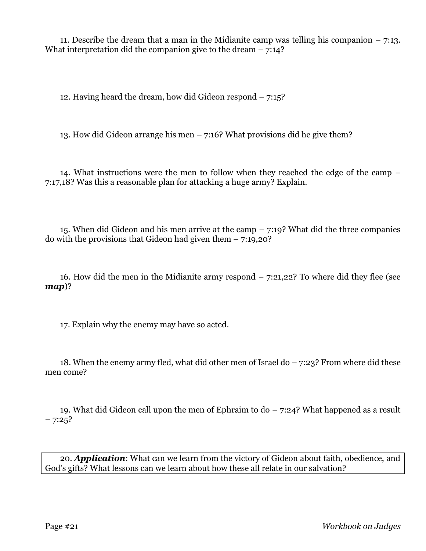11. Describe the dream that a man in the Midianite camp was telling his companion  $-7:13$ . What interpretation did the companion give to the dream  $-7:14$ ?

12. Having heard the dream, how did Gideon respond – 7:15?

13. How did Gideon arrange his men  $-7:16$ ? What provisions did he give them?

14. What instructions were the men to follow when they reached the edge of the camp – 7:17,18? Was this a reasonable plan for attacking a huge army? Explain.

15. When did Gideon and his men arrive at the camp  $-7:19$ ? What did the three companies do with the provisions that Gideon had given them  $-7:19,20$ ?

16. How did the men in the Midianite army respond – 7:21,22? To where did they flee (see *map*)?

17. Explain why the enemy may have so acted.

18. When the enemy army fled, what did other men of Israel do – 7:23? From where did these men come?

19. What did Gideon call upon the men of Ephraim to do – 7:24? What happened as a result  $-7:25?$ 

20. *Application*: What can we learn from the victory of Gideon about faith, obedience, and God's gifts? What lessons can we learn about how these all relate in our salvation?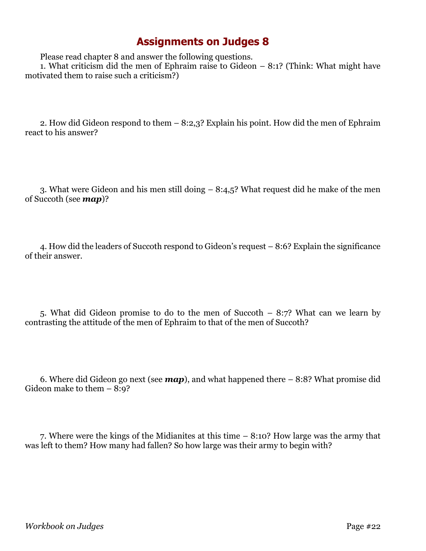Please read chapter 8 and answer the following questions.

1. What criticism did the men of Ephraim raise to Gideon – 8:1? (Think: What might have motivated them to raise such a criticism?)

2. How did Gideon respond to them – 8:2,3? Explain his point. How did the men of Ephraim react to his answer?

3. What were Gideon and his men still doing – 8:4,5? What request did he make of the men of Succoth (see *map*)?

4. How did the leaders of Succoth respond to Gideon's request – 8:6? Explain the significance of their answer.

5. What did Gideon promise to do to the men of Succoth – 8:7? What can we learn by contrasting the attitude of the men of Ephraim to that of the men of Succoth?

6. Where did Gideon go next (see *map*), and what happened there – 8:8? What promise did Gideon make to them – 8:9?

7. Where were the kings of the Midianites at this time – 8:10? How large was the army that was left to them? How many had fallen? So how large was their army to begin with?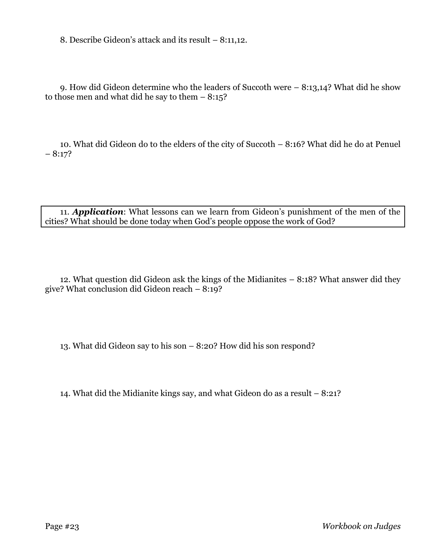8. Describe Gideon's attack and its result – 8:11,12.

9. How did Gideon determine who the leaders of Succoth were – 8:13,14? What did he show to those men and what did he say to them  $-8:15$ ?

10. What did Gideon do to the elders of the city of Succoth – 8:16? What did he do at Penuel  $-8:17?$ 

11. *Application*: What lessons can we learn from Gideon's punishment of the men of the cities? What should be done today when God's people oppose the work of God?

12. What question did Gideon ask the kings of the Midianites – 8:18? What answer did they give? What conclusion did Gideon reach – 8:19?

13. What did Gideon say to his son – 8:20? How did his son respond?

14. What did the Midianite kings say, and what Gideon do as a result – 8:21?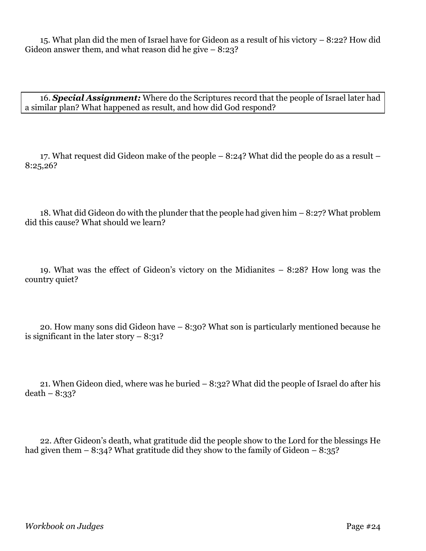15. What plan did the men of Israel have for Gideon as a result of his victory – 8:22? How did Gideon answer them, and what reason did he give  $-8:23$ ?

16. *Special Assignment:* Where do the Scriptures record that the people of Israel later had a similar plan? What happened as result, and how did God respond?

17. What request did Gideon make of the people – 8:24? What did the people do as a result – 8:25,26?

18. What did Gideon do with the plunder that the people had given him – 8:27? What problem did this cause? What should we learn?

19. What was the effect of Gideon's victory on the Midianites – 8:28? How long was the country quiet?

20. How many sons did Gideon have – 8:30? What son is particularly mentioned because he is significant in the later story  $-8:31$ ?

21. When Gideon died, where was he buried – 8:32? What did the people of Israel do after his  $death - 8:33?$ 

22. After Gideon's death, what gratitude did the people show to the Lord for the blessings He had given them  $-8:34$ ? What gratitude did they show to the family of Gideon  $-8:35$ ?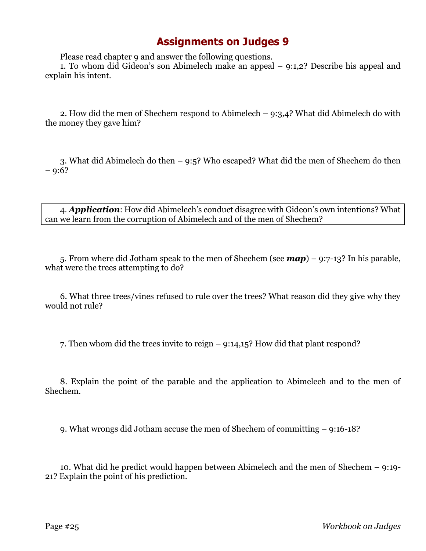Please read chapter 9 and answer the following questions.

1. To whom did Gideon's son Abimelech make an appeal – 9:1,2? Describe his appeal and explain his intent.

2. How did the men of Shechem respond to Abimelech  $-$  9:3,4? What did Abimelech do with the money they gave him?

3. What did Abimelech do then – 9:5? Who escaped? What did the men of Shechem do then  $-9:6?$ 

4. *Application*: How did Abimelech's conduct disagree with Gideon's own intentions? What can we learn from the corruption of Abimelech and of the men of Shechem?

5. From where did Jotham speak to the men of Shechem (see *map*) – 9:7-13? In his parable, what were the trees attempting to do?

6. What three trees/vines refused to rule over the trees? What reason did they give why they would not rule?

7. Then whom did the trees invite to reign – 9:14,15? How did that plant respond?

8. Explain the point of the parable and the application to Abimelech and to the men of Shechem.

9. What wrongs did Jotham accuse the men of Shechem of committing – 9:16-18?

10. What did he predict would happen between Abimelech and the men of Shechem – 9:19- 21? Explain the point of his prediction.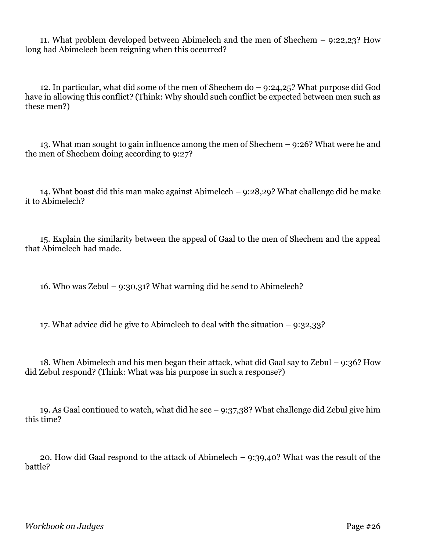11. What problem developed between Abimelech and the men of Shechem – 9:22,23? How long had Abimelech been reigning when this occurred?

12. In particular, what did some of the men of Shechem do – 9:24,25? What purpose did God have in allowing this conflict? (Think: Why should such conflict be expected between men such as these men?)

13. What man sought to gain influence among the men of Shechem – 9:26? What were he and the men of Shechem doing according to 9:27?

14. What boast did this man make against Abimelech – 9:28,29? What challenge did he make it to Abimelech?

15. Explain the similarity between the appeal of Gaal to the men of Shechem and the appeal that Abimelech had made.

16. Who was Zebul – 9:30,31? What warning did he send to Abimelech?

17. What advice did he give to Abimelech to deal with the situation – 9:32,33?

18. When Abimelech and his men began their attack, what did Gaal say to Zebul – 9:36? How did Zebul respond? (Think: What was his purpose in such a response?)

19. As Gaal continued to watch, what did he see – 9:37,38? What challenge did Zebul give him this time?

20. How did Gaal respond to the attack of Abimelech – 9:39,40? What was the result of the battle?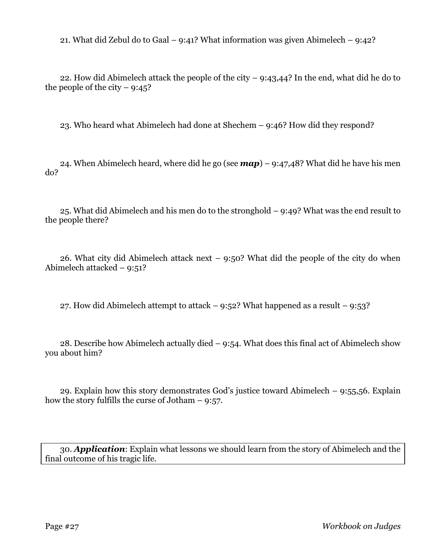21. What did Zebul do to Gaal – 9:41? What information was given Abimelech – 9:42?

22. How did Abimelech attack the people of the city – 9:43,44? In the end, what did he do to the people of the city  $-9:45$ ?

23. Who heard what Abimelech had done at Shechem – 9:46? How did they respond?

24. When Abimelech heard, where did he go (see *map*) – 9:47,48? What did he have his men do?

25. What did Abimelech and his men do to the stronghold – 9:49? What was the end result to the people there?

26. What city did Abimelech attack next  $-$  9:50? What did the people of the city do when Abimelech attacked – 9:51?

27. How did Abimelech attempt to attack  $-$  9:52? What happened as a result  $-$  9:53?

28. Describe how Abimelech actually died – 9:54. What does this final act of Abimelech show you about him?

29. Explain how this story demonstrates God's justice toward Abimelech  $-$  9:55,56. Explain how the story fulfills the curse of Jotham – 9:57.

30. *Application*: Explain what lessons we should learn from the story of Abimelech and the final outcome of his tragic life.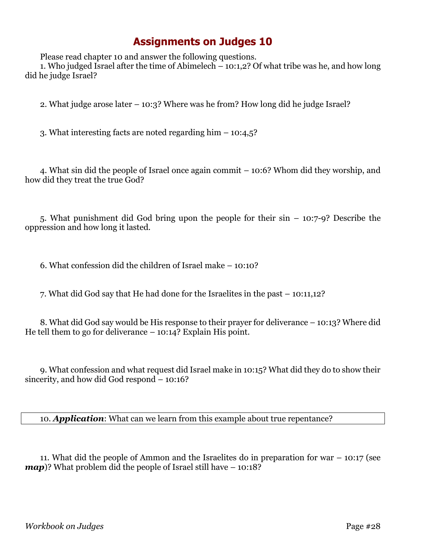Please read chapter 10 and answer the following questions.

1. Who judged Israel after the time of Abimelech – 10:1,2? Of what tribe was he, and how long did he judge Israel?

2. What judge arose later – 10:3? Where was he from? How long did he judge Israel?

3. What interesting facts are noted regarding him – 10:4,5?

4. What sin did the people of Israel once again commit – 10:6? Whom did they worship, and how did they treat the true God?

5. What punishment did God bring upon the people for their sin – 10:7-9? Describe the oppression and how long it lasted.

6. What confession did the children of Israel make – 10:10?

7. What did God say that He had done for the Israelites in the past – 10:11,12?

8. What did God say would be His response to their prayer for deliverance – 10:13? Where did He tell them to go for deliverance – 10:14? Explain His point.

9. What confession and what request did Israel make in 10:15? What did they do to show their sincerity, and how did God respond – 10:16?

10. *Application*: What can we learn from this example about true repentance?

11. What did the people of Ammon and the Israelites do in preparation for war – 10:17 (see *map*)? What problem did the people of Israel still have – 10:18?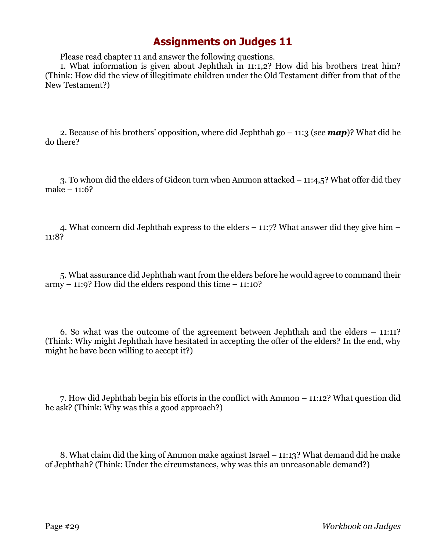Please read chapter 11 and answer the following questions.

1. What information is given about Jephthah in 11:1,2? How did his brothers treat him? (Think: How did the view of illegitimate children under the Old Testament differ from that of the New Testament?)

2. Because of his brothers' opposition, where did Jephthah go  $-11:3$  (see **map**)? What did he do there?

3. To whom did the elders of Gideon turn when Ammon attacked – 11:4,5? What offer did they make – 11:6?

4. What concern did Jephthah express to the elders – 11:7? What answer did they give him – 11:8?

5. What assurance did Jephthah want from the elders before he would agree to command their  $armv - 11:9$ ? How did the elders respond this time  $-11:10$ ?

6. So what was the outcome of the agreement between Jephthah and the elders – 11:11? (Think: Why might Jephthah have hesitated in accepting the offer of the elders? In the end, why might he have been willing to accept it?)

7. How did Jephthah begin his efforts in the conflict with Ammon – 11:12? What question did he ask? (Think: Why was this a good approach?)

8. What claim did the king of Ammon make against Israel – 11:13? What demand did he make of Jephthah? (Think: Under the circumstances, why was this an unreasonable demand?)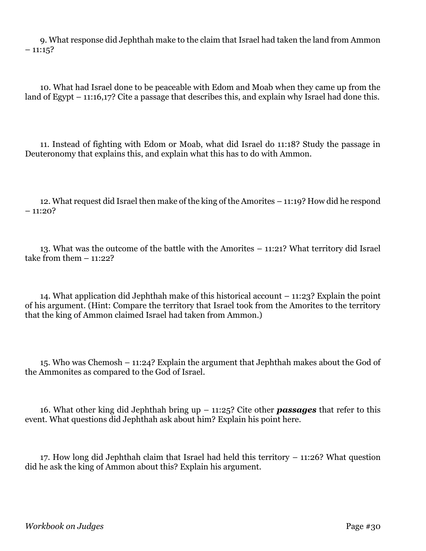9. What response did Jephthah make to the claim that Israel had taken the land from Ammon  $-11:15?$ 

10. What had Israel done to be peaceable with Edom and Moab when they came up from the land of Egypt – 11:16,17? Cite a passage that describes this, and explain why Israel had done this.

11. Instead of fighting with Edom or Moab, what did Israel do 11:18? Study the passage in Deuteronomy that explains this, and explain what this has to do with Ammon.

12. What request did Israel then make of the king of the Amorites – 11:19? How did he respond  $-11:20?$ 

13. What was the outcome of the battle with the Amorites – 11:21? What territory did Israel take from them  $-11:22?$ 

14. What application did Jephthah make of this historical account – 11:23? Explain the point of his argument. (Hint: Compare the territory that Israel took from the Amorites to the territory that the king of Ammon claimed Israel had taken from Ammon.)

15. Who was Chemosh – 11:24? Explain the argument that Jephthah makes about the God of the Ammonites as compared to the God of Israel.

16. What other king did Jephthah bring up – 11:25? Cite other *passages* that refer to this event. What questions did Jephthah ask about him? Explain his point here.

17. How long did Jephthah claim that Israel had held this territory – 11:26? What question did he ask the king of Ammon about this? Explain his argument.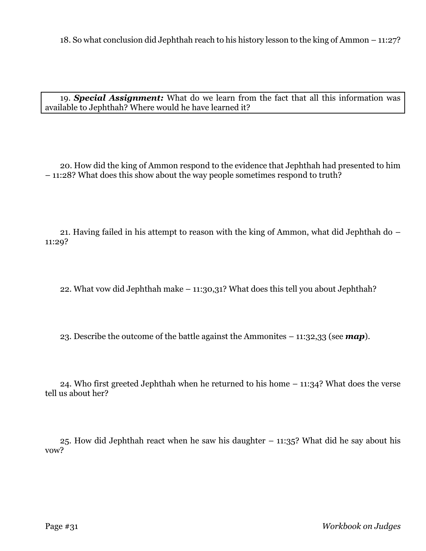18. So what conclusion did Jephthah reach to his history lesson to the king of Ammon – 11:27?

19. *Special Assignment:* What do we learn from the fact that all this information was available to Jephthah? Where would he have learned it?

20. How did the king of Ammon respond to the evidence that Jephthah had presented to him – 11:28? What does this show about the way people sometimes respond to truth?

21. Having failed in his attempt to reason with the king of Ammon, what did Jephthah do – 11:29?

22. What vow did Jephthah make – 11:30,31? What does this tell you about Jephthah?

23. Describe the outcome of the battle against the Ammonites – 11:32,33 (see *map*).

24. Who first greeted Jephthah when he returned to his home – 11:34? What does the verse tell us about her?

25. How did Jephthah react when he saw his daughter – 11:35? What did he say about his vow?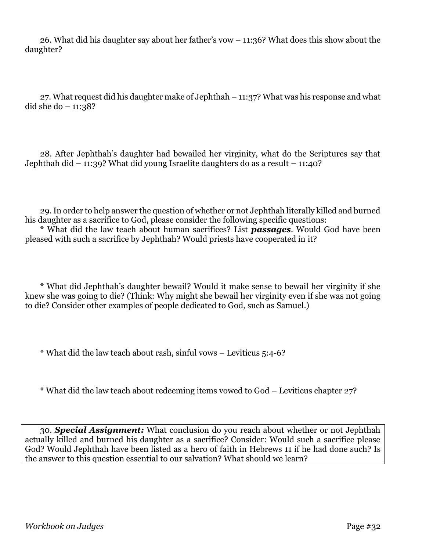26. What did his daughter say about her father's vow – 11:36? What does this show about the daughter?

27. What request did his daughter make of Jephthah – 11:37? What was his response and what did she do  $-11:38?$ 

28. After Jephthah's daughter had bewailed her virginity, what do the Scriptures say that Jephthah did – 11:39? What did young Israelite daughters do as a result – 11:40?

29. In order to help answer the question of whether or not Jephthah literally killed and burned his daughter as a sacrifice to God, please consider the following specific questions:

\* What did the law teach about human sacrifices? List *passages*. Would God have been pleased with such a sacrifice by Jephthah? Would priests have cooperated in it?

\* What did Jephthah's daughter bewail? Would it make sense to bewail her virginity if she knew she was going to die? (Think: Why might she bewail her virginity even if she was not going to die? Consider other examples of people dedicated to God, such as Samuel.)

\* What did the law teach about rash, sinful vows – Leviticus 5:4-6?

\* What did the law teach about redeeming items vowed to God – Leviticus chapter 27?

30. *Special Assignment:* What conclusion do you reach about whether or not Jephthah actually killed and burned his daughter as a sacrifice? Consider: Would such a sacrifice please God? Would Jephthah have been listed as a hero of faith in Hebrews 11 if he had done such? Is the answer to this question essential to our salvation? What should we learn?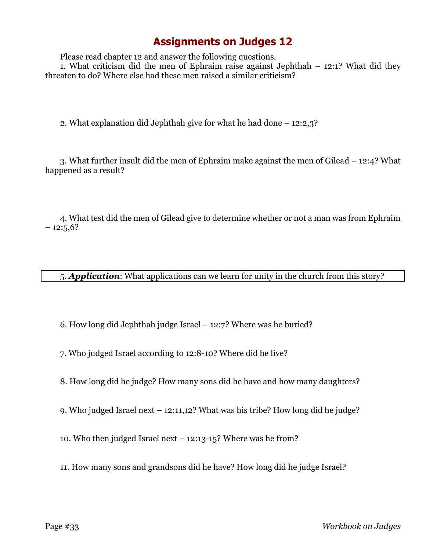Please read chapter 12 and answer the following questions.

1. What criticism did the men of Ephraim raise against Jephthah – 12:1? What did they threaten to do? Where else had these men raised a similar criticism?

2. What explanation did Jephthah give for what he had done – 12:2,3?

3. What further insult did the men of Ephraim make against the men of Gilead – 12:4? What happened as a result?

4. What test did the men of Gilead give to determine whether or not a man was from Ephraim  $-12:5,6?$ 

5. *Application*: What applications can we learn for unity in the church from this story?

6. How long did Jephthah judge Israel – 12:7? Where was he buried?

7. Who judged Israel according to 12:8-10? Where did he live?

8. How long did he judge? How many sons did he have and how many daughters?

9. Who judged Israel next – 12:11,12? What was his tribe? How long did he judge?

10. Who then judged Israel next – 12:13-15? Where was he from?

11. How many sons and grandsons did he have? How long did he judge Israel?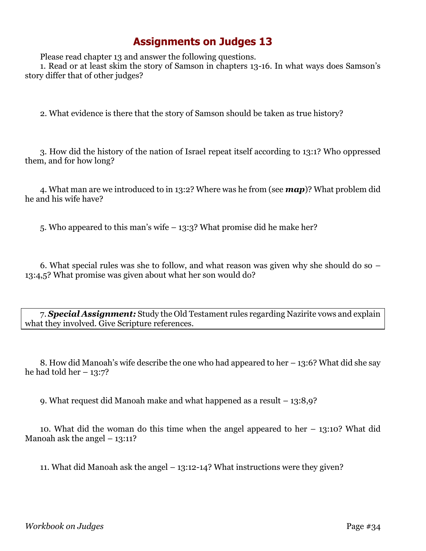Please read chapter 13 and answer the following questions.

1. Read or at least skim the story of Samson in chapters 13-16. In what ways does Samson's story differ that of other judges?

2. What evidence is there that the story of Samson should be taken as true history?

3. How did the history of the nation of Israel repeat itself according to 13:1? Who oppressed them, and for how long?

4. What man are we introduced to in 13:2? Where was he from (see *map*)? What problem did he and his wife have?

5. Who appeared to this man's wife – 13:3? What promise did he make her?

6. What special rules was she to follow, and what reason was given why she should do so – 13:4,5? What promise was given about what her son would do?

7. *Special Assignment:* Study the Old Testament rules regarding Nazirite vows and explain what they involved. Give Scripture references.

8. How did Manoah's wife describe the one who had appeared to her – 13:6? What did she say he had told her  $-13:7$ ?

9. What request did Manoah make and what happened as a result – 13:8,9?

10. What did the woman do this time when the angel appeared to her – 13:10? What did Manoah ask the angel  $-13:11$ ?

11. What did Manoah ask the angel – 13:12-14? What instructions were they given?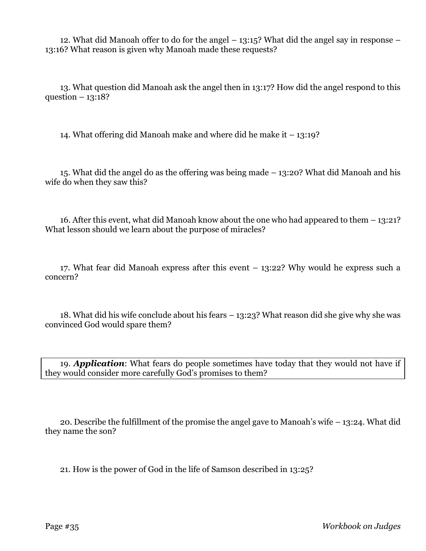12. What did Manoah offer to do for the angel – 13:15? What did the angel say in response – 13:16? What reason is given why Manoah made these requests?

13. What question did Manoah ask the angel then in 13:17? How did the angel respond to this question  $-13:18?$ 

14. What offering did Manoah make and where did he make it – 13:19?

15. What did the angel do as the offering was being made – 13:20? What did Manoah and his wife do when they saw this?

16. After this event, what did Manoah know about the one who had appeared to them – 13:21? What lesson should we learn about the purpose of miracles?

17. What fear did Manoah express after this event – 13:22? Why would he express such a concern?

18. What did his wife conclude about his fears – 13:23? What reason did she give why she was convinced God would spare them?

19. *Application*: What fears do people sometimes have today that they would not have if they would consider more carefully God's promises to them?

20. Describe the fulfillment of the promise the angel gave to Manoah's wife – 13:24. What did they name the son?

21. How is the power of God in the life of Samson described in 13:25?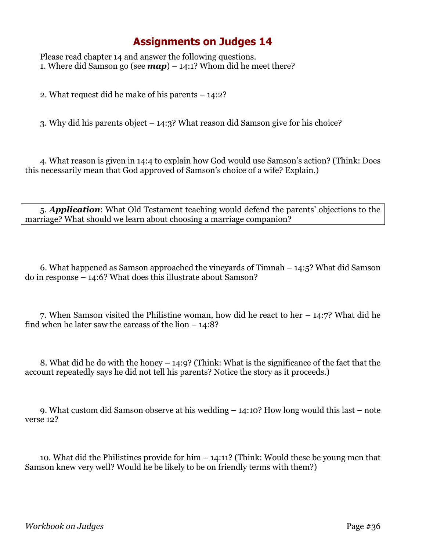Please read chapter 14 and answer the following questions. 1. Where did Samson go (see  $map) - 14:1?$  Whom did he meet there?

2. What request did he make of his parents – 14:2?

3. Why did his parents object – 14:3? What reason did Samson give for his choice?

4. What reason is given in 14:4 to explain how God would use Samson's action? (Think: Does this necessarily mean that God approved of Samson's choice of a wife? Explain.)

5. *Application*: What Old Testament teaching would defend the parents' objections to the marriage? What should we learn about choosing a marriage companion?

6. What happened as Samson approached the vineyards of Timnah – 14:5? What did Samson do in response – 14:6? What does this illustrate about Samson?

7. When Samson visited the Philistine woman, how did he react to her – 14:7? What did he find when he later saw the carcass of the lion  $-14:8$ ?

8. What did he do with the honey – 14:9? (Think: What is the significance of the fact that the account repeatedly says he did not tell his parents? Notice the story as it proceeds.)

9. What custom did Samson observe at his wedding – 14:10? How long would this last – note verse 12?

10. What did the Philistines provide for him – 14:11? (Think: Would these be young men that Samson knew very well? Would he be likely to be on friendly terms with them?)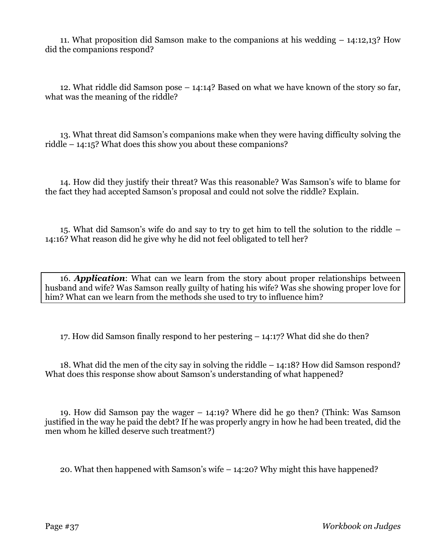11. What proposition did Samson make to the companions at his wedding – 14:12,13? How did the companions respond?

12. What riddle did Samson pose – 14:14? Based on what we have known of the story so far, what was the meaning of the riddle?

13. What threat did Samson's companions make when they were having difficulty solving the riddle – 14:15? What does this show you about these companions?

14. How did they justify their threat? Was this reasonable? Was Samson's wife to blame for the fact they had accepted Samson's proposal and could not solve the riddle? Explain.

15. What did Samson's wife do and say to try to get him to tell the solution to the riddle – 14:16? What reason did he give why he did not feel obligated to tell her?

16. *Application*: What can we learn from the story about proper relationships between husband and wife? Was Samson really guilty of hating his wife? Was she showing proper love for him? What can we learn from the methods she used to try to influence him?

17. How did Samson finally respond to her pestering – 14:17? What did she do then?

18. What did the men of the city say in solving the riddle – 14:18? How did Samson respond? What does this response show about Samson's understanding of what happened?

19. How did Samson pay the wager – 14:19? Where did he go then? (Think: Was Samson justified in the way he paid the debt? If he was properly angry in how he had been treated, did the men whom he killed deserve such treatment?)

20. What then happened with Samson's wife – 14:20? Why might this have happened?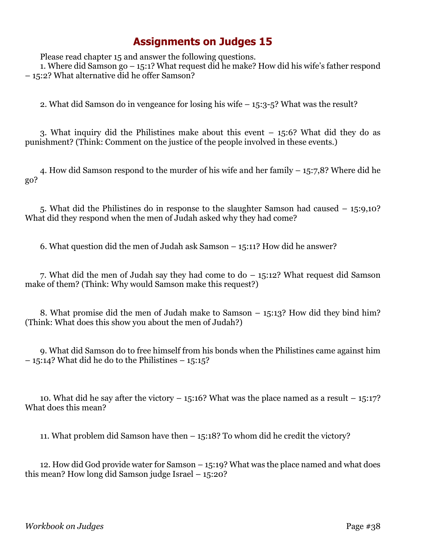Please read chapter 15 and answer the following questions.

1. Where did Samson go – 15:1? What request did he make? How did his wife's father respond – 15:2? What alternative did he offer Samson?

2. What did Samson do in vengeance for losing his wife – 15:3-5? What was the result?

3. What inquiry did the Philistines make about this event – 15:6? What did they do as punishment? (Think: Comment on the justice of the people involved in these events.)

4. How did Samson respond to the murder of his wife and her family – 15:7,8? Where did he go?

5. What did the Philistines do in response to the slaughter Samson had caused – 15:9,10? What did they respond when the men of Judah asked why they had come?

6. What question did the men of Judah ask Samson – 15:11? How did he answer?

7. What did the men of Judah say they had come to do – 15:12? What request did Samson make of them? (Think: Why would Samson make this request?)

8. What promise did the men of Judah make to Samson – 15:13? How did they bind him? (Think: What does this show you about the men of Judah?)

9. What did Samson do to free himself from his bonds when the Philistines came against him  $-15:14$ ? What did he do to the Philistines  $-15:15$ ?

10. What did he say after the victory  $-15:16$ ? What was the place named as a result  $-15:17$ ? What does this mean?

11. What problem did Samson have then – 15:18? To whom did he credit the victory?

12. How did God provide water for Samson – 15:19? What was the place named and what does this mean? How long did Samson judge Israel – 15:20?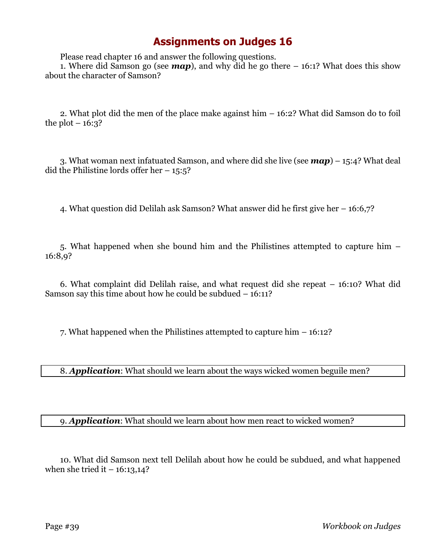Please read chapter 16 and answer the following questions.

1. Where did Samson go (see *map*), and why did he go there – 16:1? What does this show about the character of Samson?

2. What plot did the men of the place make against him – 16:2? What did Samson do to foil the plot  $-16:3$ ?

3. What woman next infatuated Samson, and where did she live (see *map*) – 15:4? What deal did the Philistine lords offer her  $-15:5$ ?

4. What question did Delilah ask Samson? What answer did he first give her – 16:6,7?

5. What happened when she bound him and the Philistines attempted to capture him – 16:8,9?

6. What complaint did Delilah raise, and what request did she repeat – 16:10? What did Samson say this time about how he could be subdued – 16:11?

7. What happened when the Philistines attempted to capture him – 16:12?

8. *Application*: What should we learn about the ways wicked women beguile men?

#### 9. *Application*: What should we learn about how men react to wicked women?

10. What did Samson next tell Delilah about how he could be subdued, and what happened when she tried it  $-16:13,14$ ?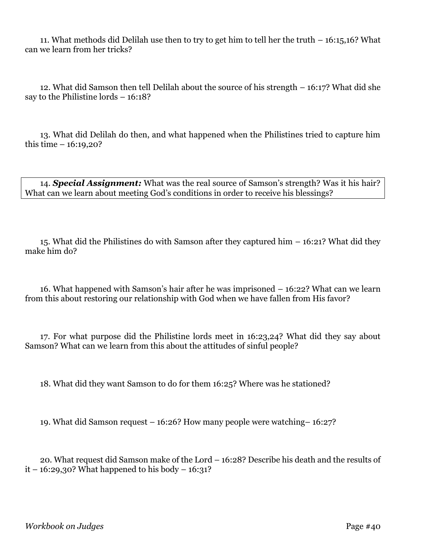11. What methods did Delilah use then to try to get him to tell her the truth – 16:15,16? What can we learn from her tricks?

12. What did Samson then tell Delilah about the source of his strength – 16:17? What did she say to the Philistine lords – 16:18?

13. What did Delilah do then, and what happened when the Philistines tried to capture him this time  $-16:19,20$ ?

14. *Special Assignment:* What was the real source of Samson's strength? Was it his hair? What can we learn about meeting God's conditions in order to receive his blessings?

15. What did the Philistines do with Samson after they captured him – 16:21? What did they make him do?

16. What happened with Samson's hair after he was imprisoned – 16:22? What can we learn from this about restoring our relationship with God when we have fallen from His favor?

17. For what purpose did the Philistine lords meet in 16:23,24? What did they say about Samson? What can we learn from this about the attitudes of sinful people?

18. What did they want Samson to do for them 16:25? Where was he stationed?

19. What did Samson request – 16:26? How many people were watching– 16:27?

20. What request did Samson make of the Lord – 16:28? Describe his death and the results of  $it - 16:29,30$ ? What happened to his body  $- 16:31$ ?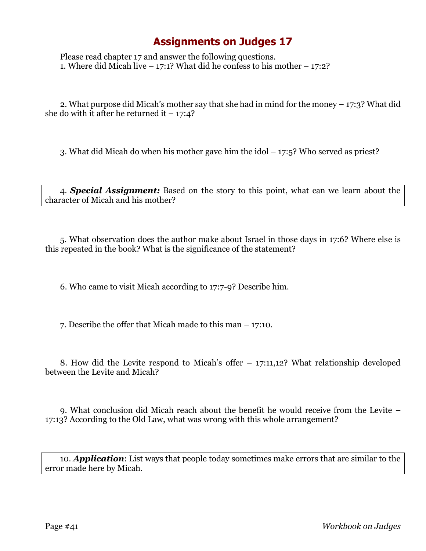Please read chapter 17 and answer the following questions. 1. Where did Micah live  $-17:1$ ? What did he confess to his mother  $-17:2$ ?

2. What purpose did Micah's mother say that she had in mind for the money – 17:3? What did she do with it after he returned it  $-17:4?$ 

3. What did Micah do when his mother gave him the idol – 17:5? Who served as priest?

4. *Special Assignment:* Based on the story to this point, what can we learn about the character of Micah and his mother?

5. What observation does the author make about Israel in those days in 17:6? Where else is this repeated in the book? What is the significance of the statement?

6. Who came to visit Micah according to 17:7-9? Describe him.

7. Describe the offer that Micah made to this man – 17:10.

8. How did the Levite respond to Micah's offer – 17:11,12? What relationship developed between the Levite and Micah?

9. What conclusion did Micah reach about the benefit he would receive from the Levite – 17:13? According to the Old Law, what was wrong with this whole arrangement?

10. *Application*: List ways that people today sometimes make errors that are similar to the error made here by Micah.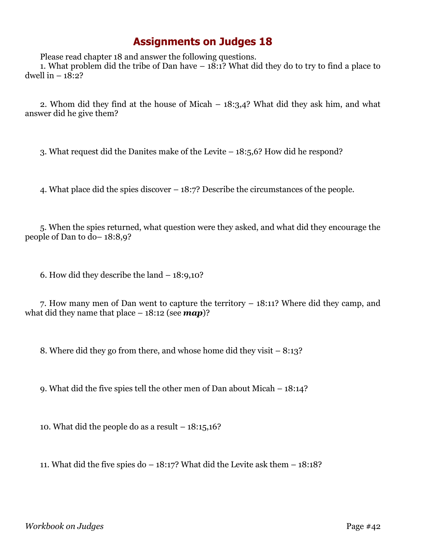Please read chapter 18 and answer the following questions.

1. What problem did the tribe of Dan have  $-18:1$ ? What did they do to try to find a place to dwell in  $-18:2$ ?

2. Whom did they find at the house of Micah – 18:3,4? What did they ask him, and what answer did he give them?

3. What request did the Danites make of the Levite – 18:5,6? How did he respond?

4. What place did the spies discover – 18:7? Describe the circumstances of the people.

5. When the spies returned, what question were they asked, and what did they encourage the people of Dan to do– 18:8,9?

6. How did they describe the land – 18:9,10?

7. How many men of Dan went to capture the territory – 18:11? Where did they camp, and what did they name that place – 18:12 (see *map*)?

8. Where did they go from there, and whose home did they visit – 8:13?

9. What did the five spies tell the other men of Dan about Micah – 18:14?

10. What did the people do as a result  $-18:15,16$ ?

11. What did the five spies do  $-18:17$ ? What did the Levite ask them  $-18:18$ ?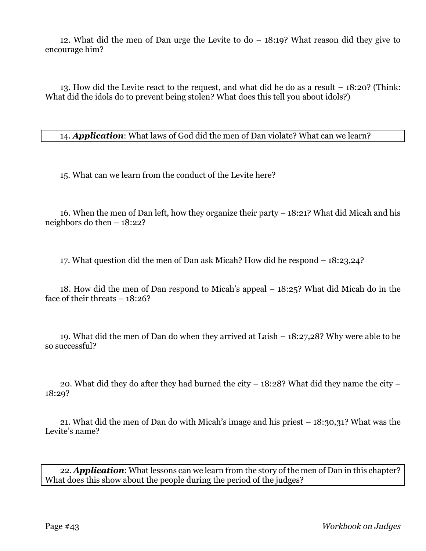12. What did the men of Dan urge the Levite to do – 18:19? What reason did they give to encourage him?

13. How did the Levite react to the request, and what did he do as a result – 18:20? (Think: What did the idols do to prevent being stolen? What does this tell you about idols?)

14. *Application*: What laws of God did the men of Dan violate? What can we learn?

15. What can we learn from the conduct of the Levite here?

16. When the men of Dan left, how they organize their party – 18:21? What did Micah and his neighbors do then – 18:22?

17. What question did the men of Dan ask Micah? How did he respond – 18:23,24?

18. How did the men of Dan respond to Micah's appeal – 18:25? What did Micah do in the face of their threats – 18:26?

19. What did the men of Dan do when they arrived at Laish – 18:27,28? Why were able to be so successful?

20. What did they do after they had burned the city – 18:28? What did they name the city – 18:29?

21. What did the men of Dan do with Micah's image and his priest – 18:30,31? What was the Levite's name?

22. *Application*: What lessons can we learn from the story of the men of Dan in this chapter? What does this show about the people during the period of the judges?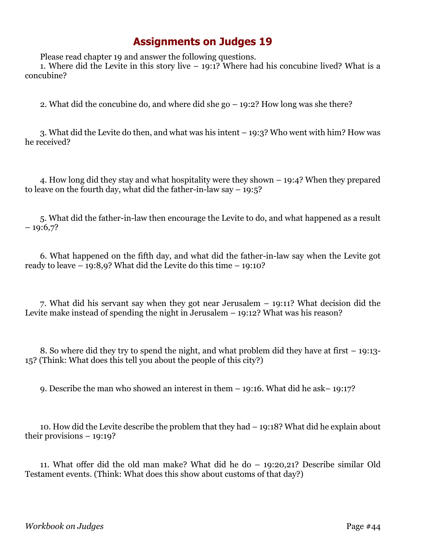Please read chapter 19 and answer the following questions.

1. Where did the Levite in this story live  $-19:1$ ? Where had his concubine lived? What is a concubine?

2. What did the concubine do, and where did she go – 19:2? How long was she there?

3. What did the Levite do then, and what was his intent – 19:3? Who went with him? How was he received?

4. How long did they stay and what hospitality were they shown – 19:4? When they prepared to leave on the fourth day, what did the father-in-law say  $-19:5$ ?

5. What did the father-in-law then encourage the Levite to do, and what happened as a result  $-19:6,7?$ 

6. What happened on the fifth day, and what did the father-in-law say when the Levite got ready to leave  $-19:8,9$ ? What did the Levite do this time  $-19:10$ ?

7. What did his servant say when they got near Jerusalem – 19:11? What decision did the Levite make instead of spending the night in Jerusalem – 19:12? What was his reason?

8. So where did they try to spend the night, and what problem did they have at first – 19:13- 15? (Think: What does this tell you about the people of this city?)

9. Describe the man who showed an interest in them – 19:16. What did he ask– 19:17?

10. How did the Levite describe the problem that they had – 19:18? What did he explain about their provisions – 19:19?

11. What offer did the old man make? What did he do – 19:20,21? Describe similar Old Testament events. (Think: What does this show about customs of that day?)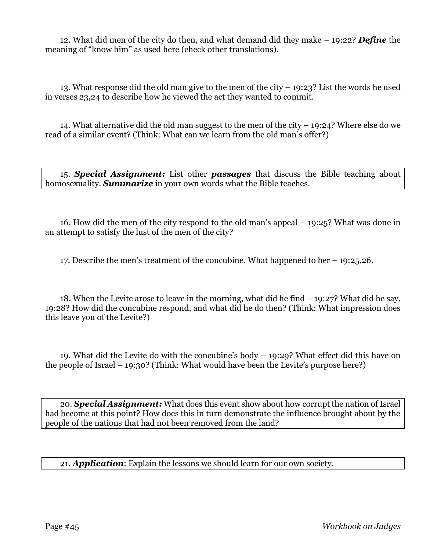12. What did men of the city do then, and what demand did they make – 19:22? *Define* the meaning of "know him" as used here (check other translations).

13. What response did the old man give to the men of the city – 19:23? List the words he used in verses 23,24 to describe how he viewed the act they wanted to commit.

14. What alternative did the old man suggest to the men of the city – 19:24? Where else do we read of a similar event? (Think: What can we learn from the old man's offer?)

15. *Special Assignment:* List other *passages* that discuss the Bible teaching about homosexuality. *Summarize* in your own words what the Bible teaches.

16. How did the men of the city respond to the old man's appeal – 19:25? What was done in an attempt to satisfy the lust of the men of the city?

17. Describe the men's treatment of the concubine. What happened to her – 19:25,26.

18. When the Levite arose to leave in the morning, what did he find – 19:27? What did he say, 19:28? How did the concubine respond, and what did he do then? (Think: What impression does this leave you of the Levite?)

19. What did the Levite do with the concubine's body – 19:29? What effect did this have on the people of Israel – 19:30? (Think: What would have been the Levite's purpose here?)

20. *Special Assignment:* What does this event show about how corrupt the nation of Israel had become at this point? How does this in turn demonstrate the influence brought about by the people of the nations that had not been removed from the land?

21. *Application*: Explain the lessons we should learn for our own society.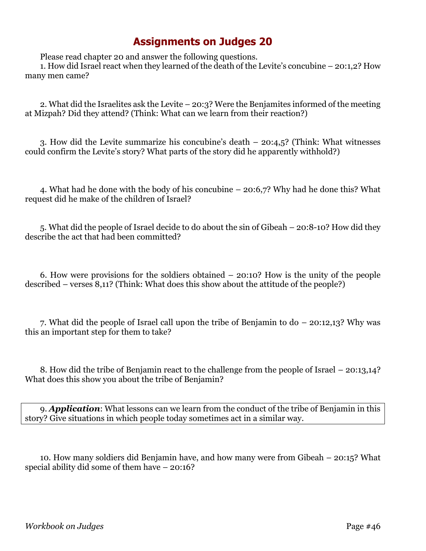Please read chapter 20 and answer the following questions.

1. How did Israel react when they learned of the death of the Levite's concubine – 20:1,2? How many men came?

2. What did the Israelites ask the Levite – 20:3? Were the Benjamites informed of the meeting at Mizpah? Did they attend? (Think: What can we learn from their reaction?)

3. How did the Levite summarize his concubine's death – 20:4,5? (Think: What witnesses could confirm the Levite's story? What parts of the story did he apparently withhold?)

4. What had he done with the body of his concubine – 20:6,7? Why had he done this? What request did he make of the children of Israel?

5. What did the people of Israel decide to do about the sin of Gibeah – 20:8-10? How did they describe the act that had been committed?

6. How were provisions for the soldiers obtained – 20:10? How is the unity of the people described – verses 8,11? (Think: What does this show about the attitude of the people?)

7. What did the people of Israel call upon the tribe of Benjamin to do – 20:12,13? Why was this an important step for them to take?

8. How did the tribe of Benjamin react to the challenge from the people of Israel – 20:13,14? What does this show you about the tribe of Benjamin?

9. *Application*: What lessons can we learn from the conduct of the tribe of Benjamin in this story? Give situations in which people today sometimes act in a similar way.

10. How many soldiers did Benjamin have, and how many were from Gibeah – 20:15? What special ability did some of them have – 20:16?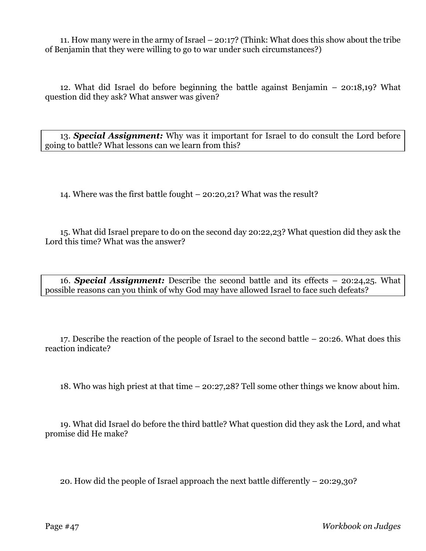11. How many were in the army of Israel – 20:17? (Think: What does this show about the tribe of Benjamin that they were willing to go to war under such circumstances?)

12. What did Israel do before beginning the battle against Benjamin – 20:18,19? What question did they ask? What answer was given?

13. *Special Assignment:* Why was it important for Israel to do consult the Lord before going to battle? What lessons can we learn from this?

14. Where was the first battle fought – 20:20,21? What was the result?

15. What did Israel prepare to do on the second day 20:22,23? What question did they ask the Lord this time? What was the answer?

16. *Special Assignment:* Describe the second battle and its effects – 20:24,25. What possible reasons can you think of why God may have allowed Israel to face such defeats?

17. Describe the reaction of the people of Israel to the second battle – 20:26. What does this reaction indicate?

18. Who was high priest at that time – 20:27,28? Tell some other things we know about him.

19. What did Israel do before the third battle? What question did they ask the Lord, and what promise did He make?

20. How did the people of Israel approach the next battle differently – 20:29,30?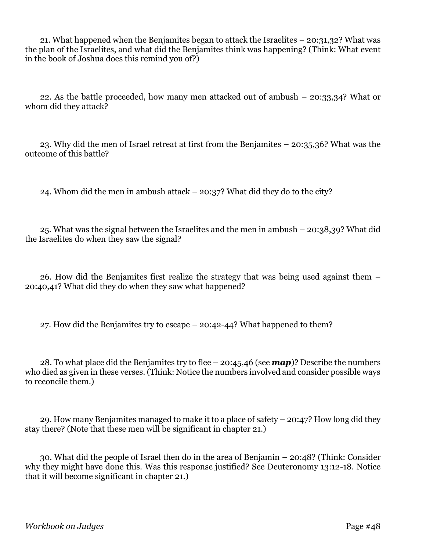21. What happened when the Benjamites began to attack the Israelites – 20:31,32? What was the plan of the Israelites, and what did the Benjamites think was happening? (Think: What event in the book of Joshua does this remind you of?)

22. As the battle proceeded, how many men attacked out of ambush – 20:33,34? What or whom did they attack?

23. Why did the men of Israel retreat at first from the Benjamites – 20:35,36? What was the outcome of this battle?

24. Whom did the men in ambush attack – 20:37? What did they do to the city?

25. What was the signal between the Israelites and the men in ambush – 20:38,39? What did the Israelites do when they saw the signal?

26. How did the Benjamites first realize the strategy that was being used against them – 20:40,41? What did they do when they saw what happened?

27. How did the Benjamites try to escape – 20:42-44? What happened to them?

28. To what place did the Benjamites try to flee – 20:45,46 (see *map*)? Describe the numbers who died as given in these verses. (Think: Notice the numbers involved and consider possible ways to reconcile them.)

29. How many Benjamites managed to make it to a place of safety – 20:47? How long did they stay there? (Note that these men will be significant in chapter 21.)

30. What did the people of Israel then do in the area of Benjamin – 20:48? (Think: Consider why they might have done this. Was this response justified? See Deuteronomy 13:12-18. Notice that it will become significant in chapter 21.)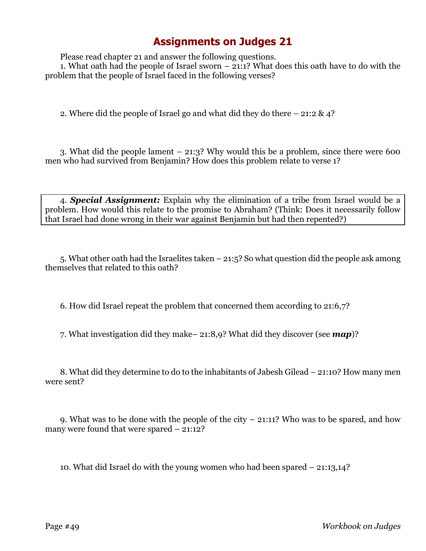Please read chapter 21 and answer the following questions. 1. What oath had the people of Israel sworn – 21:1? What does this oath have to do with the problem that the people of Israel faced in the following verses?

2. Where did the people of Israel go and what did they do there  $-21:2 \& 4$ ?

3. What did the people lament – 21:3? Why would this be a problem, since there were 600 men who had survived from Benjamin? How does this problem relate to verse 1?

4. *Special Assignment:* Explain why the elimination of a tribe from Israel would be a problem. How would this relate to the promise to Abraham? (Think: Does it necessarily follow that Israel had done wrong in their war against Benjamin but had then repented?)

5. What other oath had the Israelites taken – 21:5? So what question did the people ask among themselves that related to this oath?

6. How did Israel repeat the problem that concerned them according to 21:6,7?

7. What investigation did they make– 21:8,9? What did they discover (see *map*)?

8. What did they determine to do to the inhabitants of Jabesh Gilead – 21:10? How many men were sent?

9. What was to be done with the people of the city – 21:11? Who was to be spared, and how many were found that were spared – 21:12?

10. What did Israel do with the young women who had been spared – 21:13,14?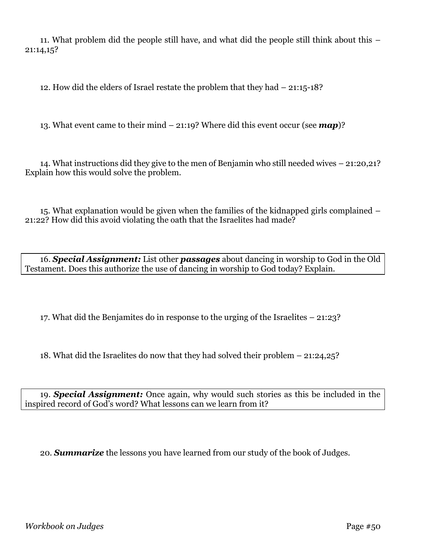11. What problem did the people still have, and what did the people still think about this – 21:14,15?

12. How did the elders of Israel restate the problem that they had – 21:15-18?

13. What event came to their mind – 21:19? Where did this event occur (see *map*)?

14. What instructions did they give to the men of Benjamin who still needed wives – 21:20,21? Explain how this would solve the problem.

15. What explanation would be given when the families of the kidnapped girls complained – 21:22? How did this avoid violating the oath that the Israelites had made?

16. *Special Assignment:* List other *passages* about dancing in worship to God in the Old Testament. Does this authorize the use of dancing in worship to God today? Explain.

17. What did the Benjamites do in response to the urging of the Israelites – 21:23?

18. What did the Israelites do now that they had solved their problem – 21:24,25?

19. *Special Assignment:* Once again, why would such stories as this be included in the inspired record of God's word? What lessons can we learn from it?

20. *Summarize* the lessons you have learned from our study of the book of Judges.